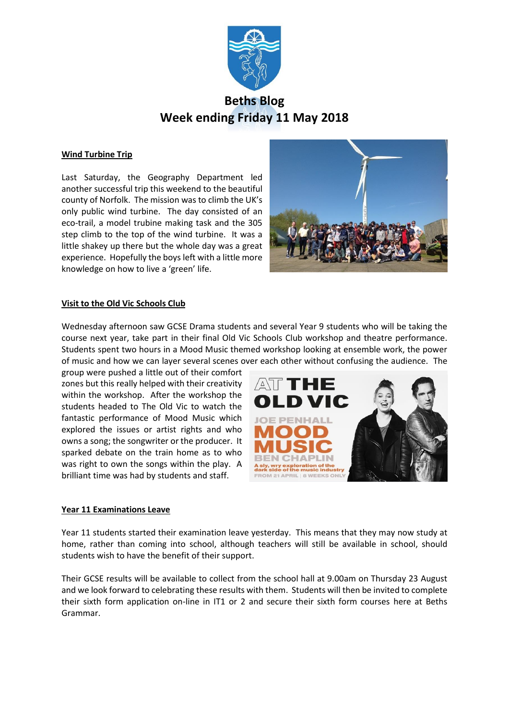

# **Beths Blog Week ending Friday 11 May 2018**

## **Wind Turbine Trip**

Last Saturday, the Geography Department led another successful trip this weekend to the beautiful county of Norfolk. The mission was to climb the UK's only public wind turbine. The day consisted of an eco-trail, a model trubine making task and the 305 step climb to the top of the wind turbine. It was a little shakey up there but the whole day was a great experience. Hopefully the boys left with a little more knowledge on how to live a 'green' life.



### **Visit to the Old Vic Schools Club**

Wednesday afternoon saw GCSE Drama students and several Year 9 students who will be taking the course next year, take part in their final Old Vic Schools Club workshop and theatre performance. Students spent two hours in a Mood Music themed workshop looking at ensemble work, the power of music and how we can layer several scenes over each other without confusing the audience. The

group were pushed a little out of their comfort zones but this really helped with their creativity within the workshop. After the workshop the students headed to The Old Vic to watch the fantastic performance of Mood Music which explored the issues or artist rights and who owns a song; the songwriter or the producer. It sparked debate on the train home as to who was right to own the songs within the play. A brilliant time was had by students and staff.



### **Year 11 Examinations Leave**

Year 11 students started their examination leave yesterday. This means that they may now study at home, rather than coming into school, although teachers will still be available in school, should students wish to have the benefit of their support.

Their GCSE results will be available to collect from the school hall at 9.00am on Thursday 23 August and we look forward to celebrating these results with them. Students will then be invited to complete their sixth form application on-line in IT1 or 2 and secure their sixth form courses here at Beths Grammar.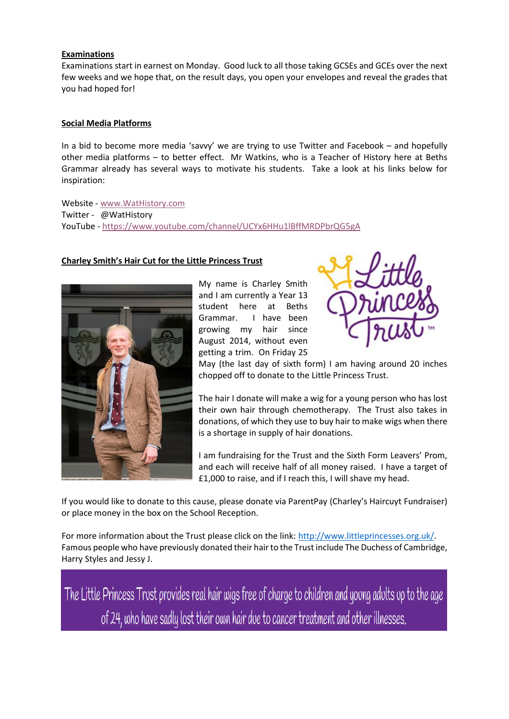## **Examinations**

Examinations start in earnest on Monday. Good luck to all those taking GCSEs and GCEs over the next few weeks and we hope that, on the result days, you open your envelopes and reveal the grades that you had hoped for!

## **Social Media Platforms**

In a bid to become more media 'savvy' we are trying to use Twitter and Facebook – and hopefully other media platforms – to better effect. Mr Watkins, who is a Teacher of History here at Beths Grammar already has several ways to motivate his students. Take a look at his links below for inspiration:

Website - [www.WatHistory.com](http://www.wathistory.com/) Twitter - @WatHistory YouTube - <https://www.youtube.com/channel/UCYx6HHu1lBffMRDPbrQG5gA>

## **Charley Smith's Hair Cut for the Little Princess Trust**



My name is Charley Smith and I am currently a Year 13 student here at Beths Grammar. I have been growing my hair since August 2014, without even getting a trim. On Friday 25



May (the last day of sixth form) I am having around 20 inches chopped off to donate to the Little Princess Trust.

The hair I donate will make a wig for a young person who has lost their own hair through chemotherapy. The Trust also takes in donations, of which they use to buy hair to make wigs when there is a shortage in supply of hair donations.

I am fundraising for the Trust and the Sixth Form Leavers' Prom, and each will receive half of all money raised. I have a target of £1,000 to raise, and if I reach this, I will shave my head.

If you would like to donate to this cause, please donate via ParentPay (Charley's Haircuyt Fundraiser) or place money in the box on the School Reception.

For more information about the Trust please click on the link: [http://www.littleprincesses.org.uk/.](http://www.littleprincesses.org.uk/) Famous people who have previously donated their hair to the Trust include The Duchess of Cambridge, Harry Styles and Jessy J.

The Little Princess Trust provides real hair wigs free of charge to children and young adults up to the age of 24, who have sadly lost their own hair due to cancer treatment and other illnesses.